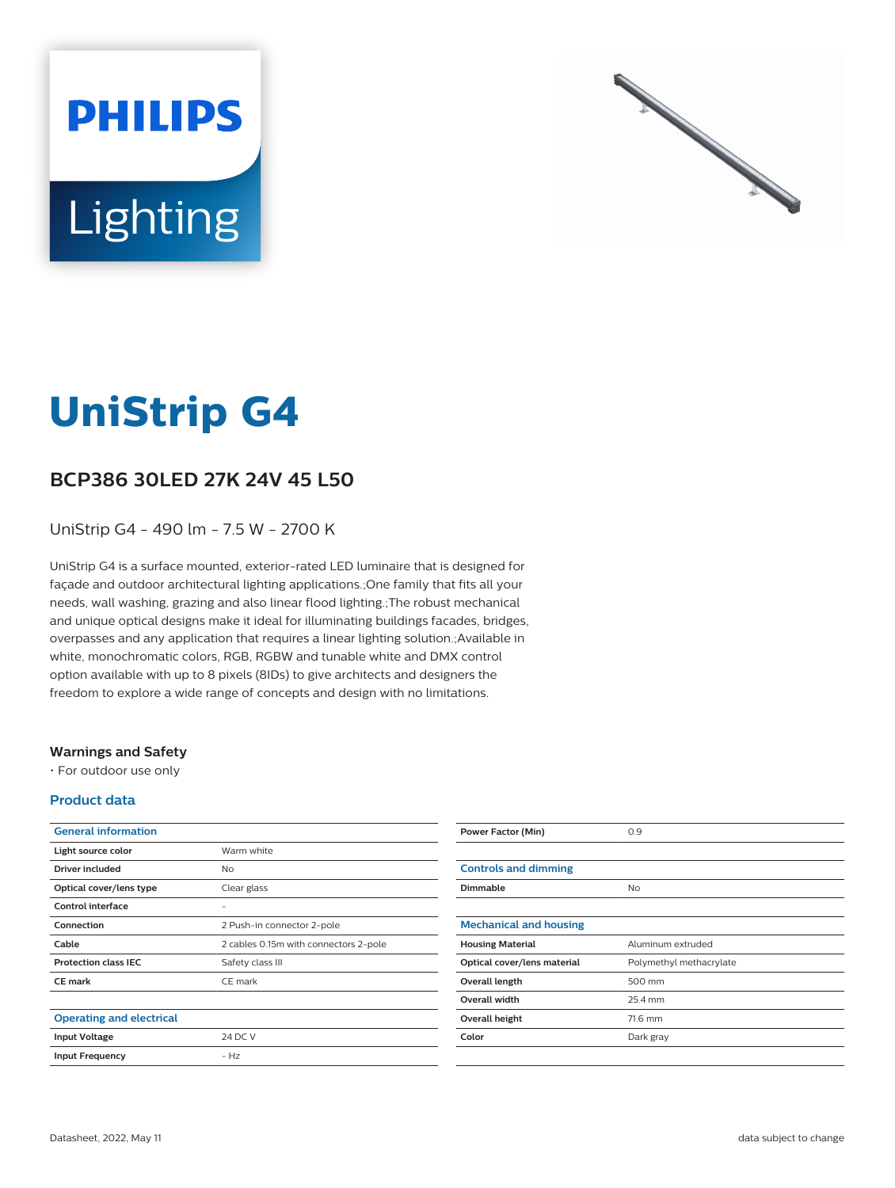



# **UniStrip G4**

## **BCP386 30LED 27K 24V 45 L50**

UniStrip G4 - 490 lm - 7.5 W - 2700 K

UniStrip G4 is a surface mounted, exterior-rated LED luminaire that is designed for façade and outdoor architectural lighting applications.;One family that fits all your needs, wall washing, grazing and also linear flood lighting.;The robust mechanical and unique optical designs make it ideal for illuminating buildings facades, bridges, overpasses and any application that requires a linear lighting solution.;Available in white, monochromatic colors, RGB, RGBW and tunable white and DMX control option available with up to 8 pixels (8IDs) to give architects and designers the freedom to explore a wide range of concepts and design with no limitations.

#### **Warnings and Safety**

• For outdoor use only

#### **Product data**

| <b>General information</b>      |                                       |
|---------------------------------|---------------------------------------|
| Light source color              | Warm white                            |
| Driver included                 | No                                    |
| Optical cover/lens type         | Clear glass                           |
| Control interface               |                                       |
| Connection                      | 2 Push-in connector 2-pole            |
| Cable                           | 2 cables 0.15m with connectors 2-pole |
| <b>Protection class IEC</b>     | Safety class III                      |
| <b>CE</b> mark                  | CE mark                               |
|                                 |                                       |
| <b>Operating and electrical</b> |                                       |
| <b>Input Voltage</b>            | 24 DC V                               |
| <b>Input Frequency</b>          | $-Hz$                                 |
|                                 |                                       |

| <b>Power Factor (Min)</b>     | 0.9                     |
|-------------------------------|-------------------------|
|                               |                         |
| <b>Controls and dimming</b>   |                         |
| Dimmable                      | No                      |
|                               |                         |
| <b>Mechanical and housing</b> |                         |
| <b>Housing Material</b>       | Aluminum extruded       |
| Optical cover/lens material   | Polymethyl methacrylate |
| Overall length                | 500 mm                  |
| <b>Overall width</b>          | 25.4 mm                 |
| Overall height                | 71.6 mm                 |
| Color                         | Dark gray               |
|                               |                         |